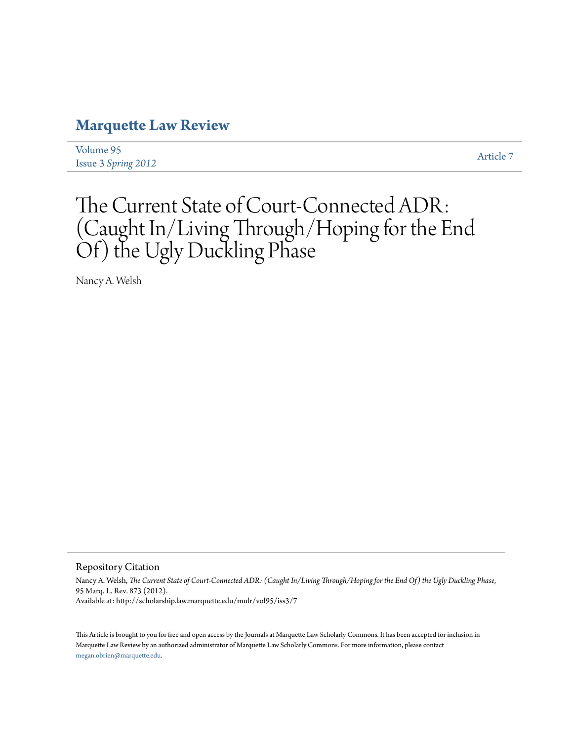## **[Marquette Law Review](http://scholarship.law.marquette.edu/mulr)**

[Volume 95](http://scholarship.law.marquette.edu/mulr/vol95) Issue 3 *[Spring 2012](http://scholarship.law.marquette.edu/mulr/vol95/iss3)* [Article 7](http://scholarship.law.marquette.edu/mulr/vol95/iss3/7)

# The Current State of Court-Connected ADR: (Caught In/Living Through/Hoping for the End Of) the Ugly Duckling Phase

Nancy A. Welsh

Repository Citation

Nancy A. Welsh, *The Current State of Court-Connected ADR: (Caught In/Living Through/Hoping for the End Of) the Ugly Duckling Phase*, 95 Marq. L. Rev. 873 (2012). Available at: http://scholarship.law.marquette.edu/mulr/vol95/iss3/7

This Article is brought to you for free and open access by the Journals at Marquette Law Scholarly Commons. It has been accepted for inclusion in Marquette Law Review by an authorized administrator of Marquette Law Scholarly Commons. For more information, please contact [megan.obrien@marquette.edu.](mailto:megan.obrien@marquette.edu)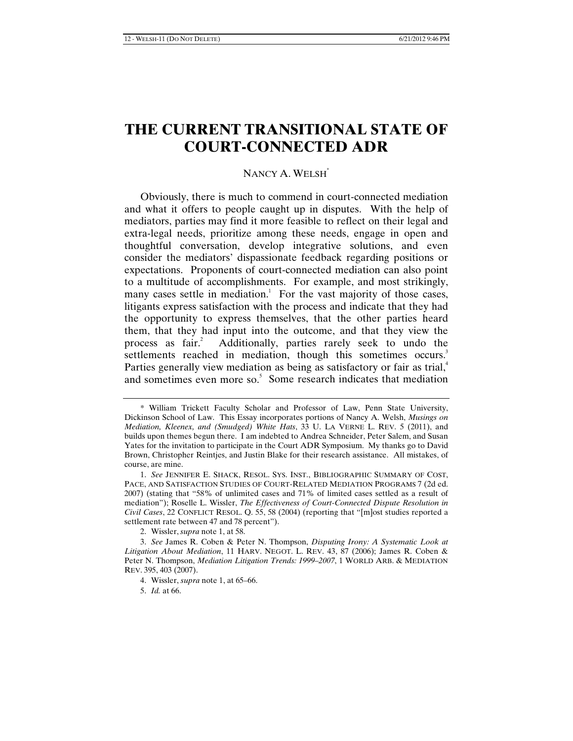### **THE CURRENT TRANSITIONAL STATE OF COURT-CONNECTED ADR**

#### NANCY A. WELSH\*

Obviously, there is much to commend in court-connected mediation and what it offers to people caught up in disputes. With the help of mediators, parties may find it more feasible to reflect on their legal and extra-legal needs, prioritize among these needs, engage in open and thoughtful conversation, develop integrative solutions, and even consider the mediators' dispassionate feedback regarding positions or expectations. Proponents of court-connected mediation can also point to a multitude of accomplishments. For example, and most strikingly, many cases settle in mediation.<sup>1</sup> For the vast majority of those cases, litigants express satisfaction with the process and indicate that they had the opportunity to express themselves, that the other parties heard them, that they had input into the outcome, and that they view the process as  $fair.<sup>2</sup>$  Additionally, parties rarely seek to undo the settlements reached in mediation, though this sometimes occurs.<sup>3</sup> Parties generally view mediation as being as satisfactory or fair as trial,<sup>4</sup> and sometimes even more so.<sup>5</sup> Some research indicates that mediation

<sup>\*</sup> William Trickett Faculty Scholar and Professor of Law, Penn State University, Dickinson School of Law. This Essay incorporates portions of Nancy A. Welsh, *Musings on Mediation, Kleenex, and (Smudged) White Hats*, 33 U. LA VERNE L. REV. 5 (2011), and builds upon themes begun there. I am indebted to Andrea Schneider, Peter Salem, and Susan Yates for the invitation to participate in the Court ADR Symposium. My thanks go to David Brown, Christopher Reintjes, and Justin Blake for their research assistance. All mistakes, of course, are mine.

<sup>1.</sup> *See* JENNIFER E. SHACK, RESOL. SYS. INST., BIBLIOGRAPHIC SUMMARY OF COST, PACE, AND SATISFACTION STUDIES OF COURT-RELATED MEDIATION PROGRAMS 7 (2d ed. 2007) (stating that "58% of unlimited cases and 71% of limited cases settled as a result of mediation"); Roselle L. Wissler, *The Effectiveness of Court-Connected Dispute Resolution in Civil Cases*, 22 CONFLICT RESOL. Q. 55, 58 (2004) (reporting that "[m]ost studies reported a settlement rate between 47 and 78 percent").

<sup>2.</sup> Wissler, *supra* note 1, at 58.

<sup>3.</sup> *See* James R. Coben & Peter N. Thompson, *Disputing Irony: A Systematic Look at Litigation About Mediation*, 11 HARV. NEGOT. L. REV. 43, 87 (2006); James R. Coben & Peter N. Thompson, *Mediation Litigation Trends: 1999–2007*, 1 WORLD ARB. & MEDIATION REV. 395, 403 (2007).

<sup>4.</sup> Wissler, *supra* note 1, at 65–66.

<sup>5.</sup> *Id.* at 66.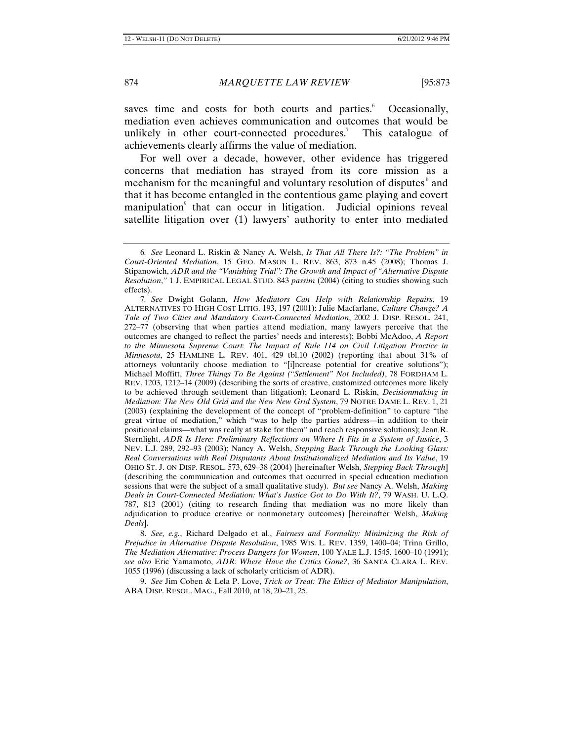saves time and costs for both courts and parties.<sup>6</sup> Occasionally, mediation even achieves communication and outcomes that would be unlikely in other court-connected procedures.<sup>7</sup> This catalogue of achievements clearly affirms the value of mediation.

For well over a decade, however, other evidence has triggered concerns that mediation has strayed from its core mission as a mechanism for the meaningful and voluntary resolution of disputes<sup>8</sup> and that it has become entangled in the contentious game playing and covert manipulation<sup>9</sup> that can occur in litigation. Judicial opinions reveal satellite litigation over (1) lawyers' authority to enter into mediated

8. *See, e.g.*, Richard Delgado et al., *Fairness and Formality: Minimizing the Risk of Prejudice in Alternative Dispute Resolution*, 1985 WIS. L. REV. 1359, 1400–04; Trina Grillo, *The Mediation Alternative: Process Dangers for Women*, 100 YALE L.J. 1545, 1600–10 (1991); *see also* Eric Yamamoto, *ADR: Where Have the Critics Gone?*, 36 SANTA CLARA L. REV. 1055 (1996) (discussing a lack of scholarly criticism of ADR).

9. *See* Jim Coben & Lela P. Love, *Trick or Treat: The Ethics of Mediator Manipulation*, ABA DISP. RESOL. MAG., Fall 2010, at 18, 20–21, 25.

<sup>6</sup>*. See* Leonard L. Riskin & Nancy A. Welsh, *Is That All There Is?: "The Problem" in Court-Oriented Mediation*, 15 GEO. MASON L. REV. 863, 873 n.45 (2008); Thomas J. Stipanowich, *ADR and the "Vanishing Trial": The Growth and Impact of "Alternative Dispute Resolution*,*"* 1 J. EMPIRICAL LEGAL STUD. 843 *passim* (2004) (citing to studies showing such effects).

<sup>7</sup>*. See* Dwight Golann, *How Mediators Can Help with Relationship Repairs*, 19 ALTERNATIVES TO HIGH COST LITIG. 193, 197 (2001); Julie Macfarlane, *Culture Change? A Tale of Two Cities and Mandatory Court-Connected Mediation*, 2002 J. DISP. RESOL. 241, 272–77 (observing that when parties attend mediation, many lawyers perceive that the outcomes are changed to reflect the parties' needs and interests); Bobbi McAdoo, *A Report*  to the Minnesota Supreme Court: The Impact of Rule 114 on Civil Litigation Practice in *Minnesota*, 25 HAMLINE L. REV. 401, 429 tbl.10 (2002) (reporting that about 31% of attorneys voluntarily choose mediation to "[i]ncrease potential for creative solutions"); Michael Moffitt, *Three Things To Be Against ("Settlement" Not Included)*, 78 FORDHAM L. REV. 1203, 1212–14 (2009) (describing the sorts of creative, customized outcomes more likely to be achieved through settlement than litigation); Leonard L. Riskin, *Decisionmaking in Mediation: The New Old Grid and the New New Grid System*, 79 NOTRE DAME L. REV. 1, 21 (2003) (explaining the development of the concept of "problem-definition" to capture "the great virtue of mediation," which "was to help the parties address—in addition to their positional claims—what was really at stake for them" and reach responsive solutions); Jean R. Sternlight, *ADR Is Here: Preliminary Reflections on Where It Fits in a System of Justice*, 3 NEV. L.J. 289, 292–93 (2003); Nancy A. Welsh, *Stepping Back Through the Looking Glass: Real Conversations with Real Disputants About Institutionalized Mediation and Its Value*, 19 OHIO ST. J. ON DISP. RESOL. 573, 629–38 (2004) [hereinafter Welsh, *Stepping Back Through*] (describing the communication and outcomes that occurred in special education mediation sessions that were the subject of a small qualitative study). *But see* Nancy A. Welsh, *Making Deals in Court-Connected Mediation: What's Justice Got to Do With It?*, 79 WASH. U. L.Q. 787, 813 (2001) (citing to research finding that mediation was no more likely than adjudication to produce creative or nonmonetary outcomes) [hereinafter Welsh, *Making Deals*].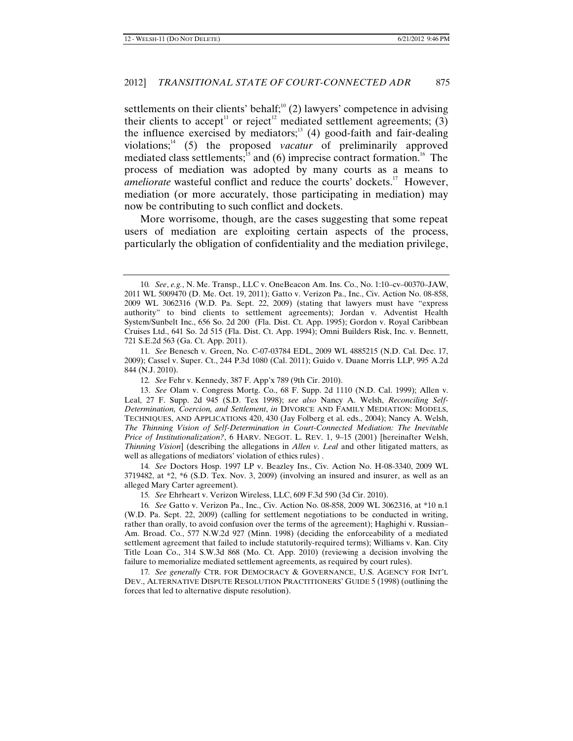settlements on their clients' behalf;<sup>10</sup> (2) lawyers' competence in advising their clients to accept<sup>11</sup> or reject<sup>12</sup> mediated settlement agreements; (3) the influence exercised by mediators;<sup>13</sup> (4) good-faith and fair-dealing violations; <sup>14</sup> (5) the proposed *vacatur* of preliminarily approved mediated class settlements;<sup>15</sup> and (6) imprecise contract formation.<sup>16</sup> The process of mediation was adopted by many courts as a means to ameliorate wasteful conflict and reduce the courts' dockets.<sup>17</sup> However, mediation (or more accurately, those participating in mediation) may now be contributing to such conflict and dockets.

More worrisome, though, are the cases suggesting that some repeat users of mediation are exploiting certain aspects of the process, particularly the obligation of confidentiality and the mediation privilege,

14*. See* Doctors Hosp. 1997 LP v. Beazley Ins., Civ. Action No. H-08-3340, 2009 WL 3719482, at \*2, \*6 (S.D. Tex. Nov. 3, 2009) (involving an insured and insurer, as well as an alleged Mary Carter agreement).

15*. See* Ehrheart v. Verizon Wireless, LLC, 609 F.3d 590 (3d Cir. 2010).

16*. See* Gatto v. Verizon Pa., Inc., Civ. Action No. 08-858, 2009 WL 3062316, at \*10 n.1 (W.D. Pa. Sept. 22, 2009) (calling for settlement negotiations to be conducted in writing, rather than orally, to avoid confusion over the terms of the agreement); Haghighi v. Russian– Am. Broad. Co., 577 N.W.2d 927 (Minn. 1998) (deciding the enforceability of a mediated settlement agreement that failed to include statutorily-required terms); Williams v. Kan. City Title Loan Co., 314 S.W.3d 868 (Mo. Ct. App. 2010) (reviewing a decision involving the failure to memorialize mediated settlement agreements, as required by court rules).

17*. See generally* CTR. FOR DEMOCRACY & GOVERNANCE, U.S. AGENCY FOR INT'L DEV., ALTERNATIVE DISPUTE RESOLUTION PRACTITIONERS' GUIDE 5 (1998) (outlining the forces that led to alternative dispute resolution).

<sup>10</sup>*. See*, *e.g.*, N. Me. Transp., LLC v. OneBeacon Am. Ins. Co., No. 1:10–cv–00370–JAW, 2011 WL 5009470 (D. Me. Oct. 19, 2011); Gatto v. Verizon Pa., Inc., Civ. Action No. 08-858, 2009 WL 3062316 (W.D. Pa. Sept. 22, 2009) (stating that lawyers must have "express authority" to bind clients to settlement agreements); Jordan v. Adventist Health System/Sunbelt Inc., 656 So. 2d 200 (Fla. Dist. Ct. App. 1995); Gordon v. Royal Caribbean Cruises Ltd., 641 So. 2d 515 (Fla. Dist. Ct. App. 1994); Omni Builders Risk, Inc. v. Bennett, 721 S.E.2d 563 (Ga. Ct. App. 2011).

<sup>11</sup>*. See* Benesch v. Green, No. C-07-03784 EDL, 2009 WL 4885215 (N.D. Cal. Dec. 17, 2009); Cassel v. Super. Ct., 244 P.3d 1080 (Cal. 2011); Guido v. Duane Morris LLP, 995 A.2d 844 (N.J. 2010).

<sup>12</sup>*. See* Fehr v. Kennedy, 387 F. App'x 789 (9th Cir. 2010).

<sup>13.</sup> *See* Olam v. Congress Mortg. Co., 68 F. Supp. 2d 1110 (N.D. Cal. 1999); Allen v. Leal, 27 F. Supp. 2d 945 (S.D. Tex 1998); *see also* Nancy A. Welsh, *Reconciling Self-Determination, Coercion, and Settlement*, *in* DIVORCE AND FAMILY MEDIATION: MODELS, TECHNIQUES, AND APPLICATIONS 420, 430 (Jay Folberg et al. eds., 2004); Nancy A. Welsh, *The Thinning Vision of Self-Determination in Court-Connected Mediation: The Inevitable Price of Institutionalization?*, 6 HARV. NEGOT. L. REV. 1, 9–15 (2001) [hereinafter Welsh, *Thinning Vision*] (describing the allegations in *Allen v. Leal* and other litigated matters, as well as allegations of mediators' violation of ethics rules) .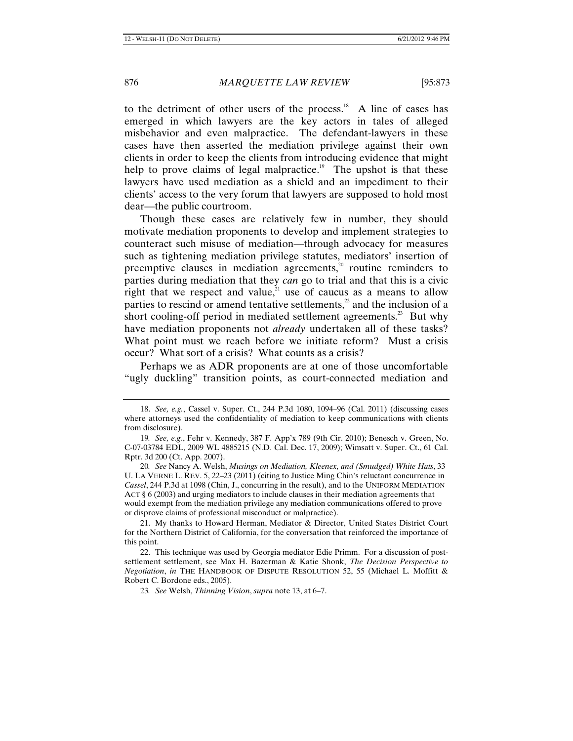to the detriment of other users of the process.<sup>18</sup> A line of cases has emerged in which lawyers are the key actors in tales of alleged misbehavior and even malpractice. The defendant-lawyers in these cases have then asserted the mediation privilege against their own clients in order to keep the clients from introducing evidence that might help to prove claims of legal malpractice.<sup>19</sup> The upshot is that these lawyers have used mediation as a shield and an impediment to their clients' access to the very forum that lawyers are supposed to hold most dear—the public courtroom.

Though these cases are relatively few in number, they should motivate mediation proponents to develop and implement strategies to counteract such misuse of mediation—through advocacy for measures such as tightening mediation privilege statutes, mediators' insertion of preemptive clauses in mediation agreements,<sup>20</sup> routine reminders to parties during mediation that they *can* go to trial and that this is a civic right that we respect and value,<sup>21</sup> use of caucus as a means to allow parties to rescind or amend tentative settlements, $\alpha$  and the inclusion of a short cooling-off period in mediated settlement agreements.<sup>23</sup> But why have mediation proponents not *already* undertaken all of these tasks? What point must we reach before we initiate reform? Must a crisis occur? What sort of a crisis? What counts as a crisis?

Perhaps we as ADR proponents are at one of those uncomfortable "ugly duckling" transition points, as court-connected mediation and

<sup>18.</sup> *See, e.g.*, Cassel v. Super. Ct., 244 P.3d 1080, 1094–96 (Cal. 2011) (discussing cases where attorneys used the confidentiality of mediation to keep communications with clients from disclosure).

<sup>19</sup>*. See, e.g.*, Fehr v. Kennedy, 387 F. App'x 789 (9th Cir. 2010); Benesch v. Green, No. C-07-03784 EDL, 2009 WL 4885215 (N.D. Cal. Dec. 17, 2009); Wimsatt v. Super. Ct., 61 Cal. Rptr. 3d 200 (Ct. App. 2007).

<sup>20</sup>*. See* Nancy A. Welsh, *Musings on Mediation, Kleenex, and (Smudged) White Hats*, 33 U. LA VERNE L. REV. 5, 22–23 (2011) (citing to Justice Ming Chin's reluctant concurrence in *Cassel*, 244 P.3d at 1098 (Chin, J., concurring in the result), and to the UNIFORM MEDIATION ACT § 6 (2003) and urging mediators to include clauses in their mediation agreements that would exempt from the mediation privilege any mediation communications offered to prove or disprove claims of professional misconduct or malpractice).

<sup>21.</sup> My thanks to Howard Herman, Mediator & Director, United States District Court for the Northern District of California, for the conversation that reinforced the importance of this point.

<sup>22.</sup> This technique was used by Georgia mediator Edie Primm. For a discussion of postsettlement settlement, see Max H. Bazerman & Katie Shonk, *The Decision Perspective to Negotiation*, *in* THE HANDBOOK OF DISPUTE RESOLUTION 52, 55 (Michael L. Moffitt & Robert C. Bordone eds., 2005).

<sup>23</sup>*. See* Welsh, *Thinning Vision*, *supra* note 13, at 6–7.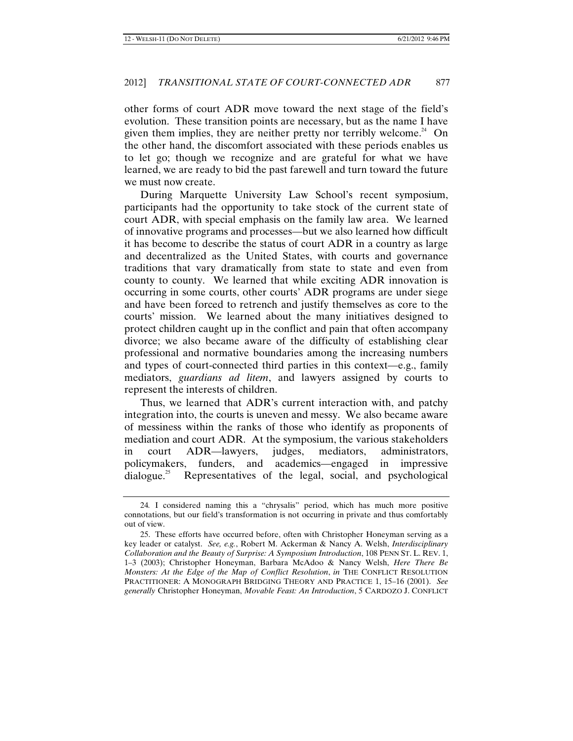other forms of court ADR move toward the next stage of the field's evolution. These transition points are necessary, but as the name I have given them implies, they are neither pretty nor terribly welcome.<sup>24</sup> On the other hand, the discomfort associated with these periods enables us to let go; though we recognize and are grateful for what we have learned, we are ready to bid the past farewell and turn toward the future we must now create.

During Marquette University Law School's recent symposium, participants had the opportunity to take stock of the current state of court ADR, with special emphasis on the family law area. We learned of innovative programs and processes—but we also learned how difficult it has become to describe the status of court ADR in a country as large and decentralized as the United States, with courts and governance traditions that vary dramatically from state to state and even from county to county. We learned that while exciting ADR innovation is occurring in some courts, other courts' ADR programs are under siege and have been forced to retrench and justify themselves as core to the courts' mission. We learned about the many initiatives designed to protect children caught up in the conflict and pain that often accompany divorce; we also became aware of the difficulty of establishing clear professional and normative boundaries among the increasing numbers and types of court-connected third parties in this context—e.g., family mediators, *guardians ad litem*, and lawyers assigned by courts to represent the interests of children.

Thus, we learned that ADR's current interaction with, and patchy integration into, the courts is uneven and messy. We also became aware of messiness within the ranks of those who identify as proponents of mediation and court ADR. At the symposium, the various stakeholders in court ADR—lawyers, judges, mediators, administrators, policymakers, funders, and academics—engaged in impressive dialogue. 25 Representatives of the legal, social, and psychological

<sup>24</sup>*.* I considered naming this a "chrysalis" period, which has much more positive connotations, but our field's transformation is not occurring in private and thus comfortably out of view.

<sup>25.</sup> These efforts have occurred before, often with Christopher Honeyman serving as a key leader or catalyst. *See, e.g.*, Robert M. Ackerman & Nancy A. Welsh, *Interdisciplinary Collaboration and the Beauty of Surprise: A Symposium Introduction*, 108 PENN ST. L. REV. 1, 1–3 (2003); Christopher Honeyman, Barbara McAdoo & Nancy Welsh, *Here There Be Monsters: At the Edge of the Map of Conflict Resolution*, *in* THE CONFLICT RESOLUTION PRACTITIONER: A MONOGRAPH BRIDGING THEORY AND PRACTICE 1, 15–16 (2001). *See generally* Christopher Honeyman, *Movable Feast: An Introduction*, 5 CARDOZO J. CONFLICT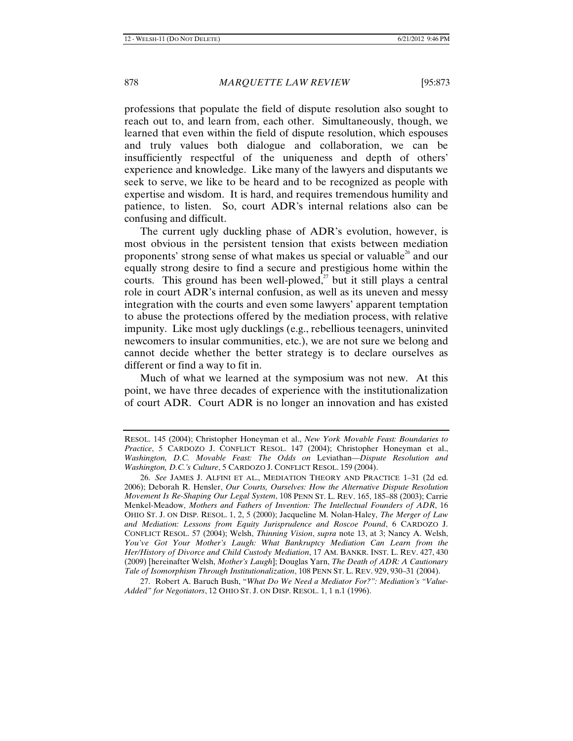professions that populate the field of dispute resolution also sought to reach out to, and learn from, each other. Simultaneously, though, we learned that even within the field of dispute resolution, which espouses and truly values both dialogue and collaboration, we can be insufficiently respectful of the uniqueness and depth of others' experience and knowledge. Like many of the lawyers and disputants we seek to serve, we like to be heard and to be recognized as people with expertise and wisdom. It is hard, and requires tremendous humility and patience, to listen. So, court ADR's internal relations also can be confusing and difficult.

The current ugly duckling phase of ADR's evolution, however, is most obvious in the persistent tension that exists between mediation proponents' strong sense of what makes us special or valuable<sup>26</sup> and our equally strong desire to find a secure and prestigious home within the courts. This ground has been well-plowed, $^{27}$  but it still plays a central role in court ADR's internal confusion, as well as its uneven and messy integration with the courts and even some lawyers' apparent temptation to abuse the protections offered by the mediation process, with relative impunity. Like most ugly ducklings (e.g., rebellious teenagers, uninvited newcomers to insular communities, etc.), we are not sure we belong and cannot decide whether the better strategy is to declare ourselves as different or find a way to fit in.

Much of what we learned at the symposium was not new. At this point, we have three decades of experience with the institutionalization of court ADR. Court ADR is no longer an innovation and has existed

RESOL. 145 (2004); Christopher Honeyman et al., *New York Movable Feast: Boundaries to Practice*, 5 CARDOZO J. CONFLICT RESOL. 147 (2004); Christopher Honeyman et al., *Washington, D.C. Movable Feast: The Odds on* Leviathan—*Dispute Resolution and Washington, D.C.'s Culture*, 5 CARDOZO J. CONFLICT RESOL. 159 (2004).

<sup>26.</sup> *See* JAMES J. ALFINI ET AL., MEDIATION THEORY AND PRACTICE 1–31 (2d ed. 2006); Deborah R. Hensler, *Our Courts, Ourselves: How the Alternative Dispute Resolution Movement Is Re-Shaping Our Legal System*, 108 PENN ST. L. REV. 165, 185–88 (2003); Carrie Menkel-Meadow, *Mothers and Fathers of Invention: The Intellectual Founders of ADR*, 16 OHIO ST. J. ON DISP. RESOL. 1, 2, 5 (2000); Jacqueline M. Nolan-Haley, *The Merger of Law and Mediation: Lessons from Equity Jurisprudence and Roscoe Pound*, 6 CARDOZO J. CONFLICT RESOL. 57 (2004); Welsh, *Thinning Vision*, *supra* note 13, at 3; Nancy A. Welsh, *You've Got Your Mother's Laugh: What Bankruptcy Mediation Can Learn from the Her/History of Divorce and Child Custody Mediation*, 17 AM. BANKR. INST. L. REV. 427, 430 (2009) [hereinafter Welsh, *Mother's Laugh*]; Douglas Yarn, *The Death of ADR: A Cautionary Tale of Isomorphism Through Institutionalization*, 108 PENN ST. L. REV. 929, 930–31 (2004).

<sup>27.</sup> Robert A. Baruch Bush, "*What Do We Need a Mediator For?": Mediation's "Value-Added" for Negotiators*, 12 OHIO ST. J. ON DISP. RESOL. 1, 1 n.1 (1996).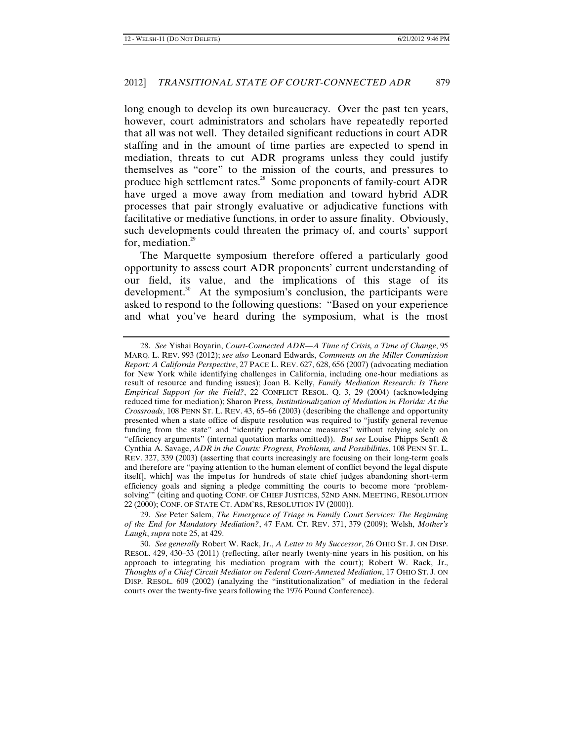long enough to develop its own bureaucracy. Over the past ten years, however, court administrators and scholars have repeatedly reported that all was not well. They detailed significant reductions in court ADR staffing and in the amount of time parties are expected to spend in mediation, threats to cut ADR programs unless they could justify themselves as "core" to the mission of the courts, and pressures to produce high settlement rates.<sup>28</sup> Some proponents of family-court ADR have urged a move away from mediation and toward hybrid ADR processes that pair strongly evaluative or adjudicative functions with facilitative or mediative functions, in order to assure finality. Obviously, such developments could threaten the primacy of, and courts' support for, mediation. $29$ 

The Marquette symposium therefore offered a particularly good opportunity to assess court ADR proponents' current understanding of our field, its value, and the implications of this stage of its development.<sup>30</sup> At the symposium's conclusion, the participants were asked to respond to the following questions: "Based on your experience and what you've heard during the symposium, what is the most

<sup>28.</sup> *See* Yishai Boyarin, *Court-Connected ADR—A Time of Crisis, a Time of Change*, 95 MARQ. L. REV. 993 (2012); *see also* Leonard Edwards, *Comments on the Miller Commission Report: A California Perspective*, 27 PACE L. REV. 627, 628, 656 (2007) (advocating mediation for New York while identifying challenges in California, including one-hour mediations as result of resource and funding issues); Joan B. Kelly, *Family Mediation Research: Is There Empirical Support for the Field?*, 22 CONFLICT RESOL. Q. 3, 29 (2004) (acknowledging reduced time for mediation); Sharon Press, *Institutionalization of Mediation in Florida: At the Crossroads*, 108 PENN ST. L. REV. 43, 65–66 (2003) (describing the challenge and opportunity presented when a state office of dispute resolution was required to "justify general revenue funding from the state" and "identify performance measures" without relying solely on "efficiency arguments" (internal quotation marks omitted)). *But see* Louise Phipps Senft & Cynthia A. Savage, *ADR in the Courts: Progress, Problems, and Possibilities*, 108 PENN ST. L. REV. 327, 339 (2003) (asserting that courts increasingly are focusing on their long-term goals and therefore are "paying attention to the human element of conflict beyond the legal dispute itself[, which] was the impetus for hundreds of state chief judges abandoning short-term efficiency goals and signing a pledge committing the courts to become more 'problemsolving'" (citing and quoting CONF. OF CHIEF JUSTICES, 52ND ANN. MEETING, RESOLUTION 22 (2000); CONF. OF STATE CT. ADM'RS, RESOLUTION IV (2000)).

<sup>29.</sup> *See* Peter Salem, *The Emergence of Triage in Family Court Services: The Beginning of the End for Mandatory Mediation?*, 47 FAM. CT. REV. 371, 379 (2009); Welsh, *Mother's Laugh*, *supra* note 25, at 429.

<sup>30.</sup> *See generally* Robert W. Rack, Jr., *A Letter to My Successor*, 26 OHIO ST. J. ON DISP. RESOL. 429, 430–33 (2011) (reflecting, after nearly twenty-nine years in his position, on his approach to integrating his mediation program with the court); Robert W. Rack, Jr., *Thoughts of a Chief Circuit Mediator on Federal Court-Annexed Mediation*, 17 OHIO ST. J. ON DISP. RESOL. 609 (2002) (analyzing the "institutionalization" of mediation in the federal courts over the twenty-five years following the 1976 Pound Conference).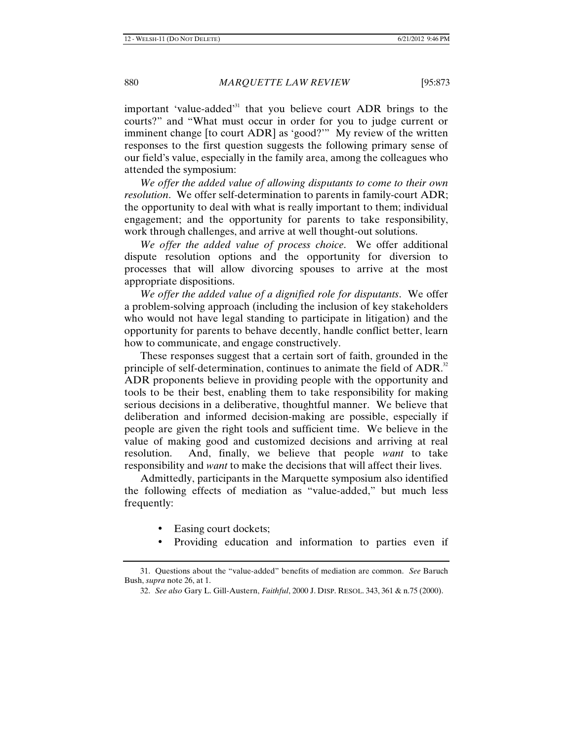important 'value-added'31 that you believe court ADR brings to the courts?" and "What must occur in order for you to judge current or imminent change [to court ADR] as 'good?'" My review of the written responses to the first question suggests the following primary sense of our field's value, especially in the family area, among the colleagues who attended the symposium:

*We offer the added value of allowing disputants to come to their own resolution*. We offer self-determination to parents in family-court ADR; the opportunity to deal with what is really important to them; individual engagement; and the opportunity for parents to take responsibility, work through challenges, and arrive at well thought-out solutions.

*We offer the added value of process choice*. We offer additional dispute resolution options and the opportunity for diversion to processes that will allow divorcing spouses to arrive at the most appropriate dispositions.

*We offer the added value of a dignified role for disputants*. We offer a problem-solving approach (including the inclusion of key stakeholders who would not have legal standing to participate in litigation) and the opportunity for parents to behave decently, handle conflict better, learn how to communicate, and engage constructively.

These responses suggest that a certain sort of faith, grounded in the principle of self-determination, continues to animate the field of  $ADR$ .<sup>32</sup> ADR proponents believe in providing people with the opportunity and tools to be their best, enabling them to take responsibility for making serious decisions in a deliberative, thoughtful manner. We believe that deliberation and informed decision-making are possible, especially if people are given the right tools and sufficient time. We believe in the value of making good and customized decisions and arriving at real resolution. And, finally, we believe that people *want* to take responsibility and *want* to make the decisions that will affect their lives.

Admittedly, participants in the Marquette symposium also identified the following effects of mediation as "value-added," but much less frequently:

- Easing court dockets;
- Providing education and information to parties even if

<sup>31.</sup> Questions about the "value-added" benefits of mediation are common. *See* Baruch Bush, *supra* note 26, at 1.

<sup>32.</sup> *See also* Gary L. Gill-Austern, *Faithful*, 2000 J. DISP. RESOL. 343, 361 & n.75 (2000).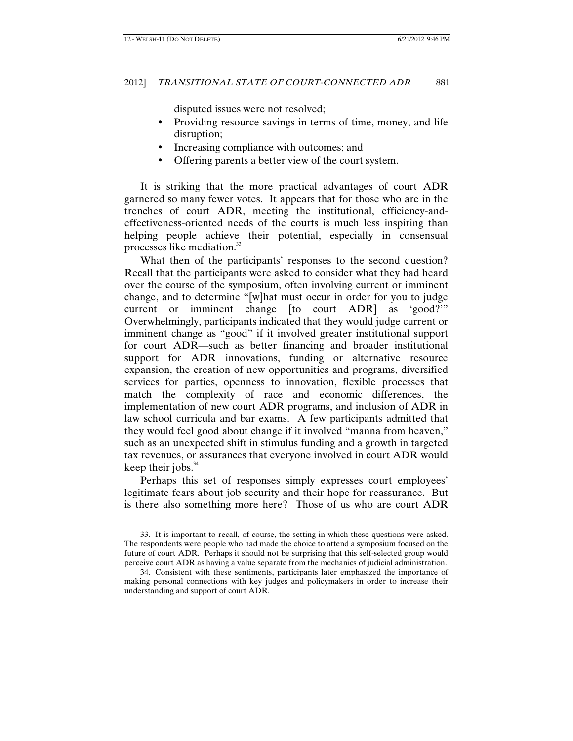disputed issues were not resolved;

- Providing resource savings in terms of time, money, and life L. disruption;
- Increasing compliance with outcomes; and
- Offering parents a better view of the court system.

It is striking that the more practical advantages of court ADR garnered so many fewer votes. It appears that for those who are in the trenches of court ADR, meeting the institutional, efficiency-andeffectiveness-oriented needs of the courts is much less inspiring than helping people achieve their potential, especially in consensual processes like mediation.<sup>33</sup>

What then of the participants' responses to the second question? Recall that the participants were asked to consider what they had heard over the course of the symposium, often involving current or imminent change, and to determine "[w]hat must occur in order for you to judge current or imminent change [to court ADR] as 'good?'" Overwhelmingly, participants indicated that they would judge current or imminent change as "good" if it involved greater institutional support for court ADR—such as better financing and broader institutional support for ADR innovations, funding or alternative resource expansion, the creation of new opportunities and programs, diversified services for parties, openness to innovation, flexible processes that match the complexity of race and economic differences, the implementation of new court ADR programs, and inclusion of ADR in law school curricula and bar exams. A few participants admitted that they would feel good about change if it involved "manna from heaven," such as an unexpected shift in stimulus funding and a growth in targeted tax revenues, or assurances that everyone involved in court ADR would keep their jobs. $34$ 

Perhaps this set of responses simply expresses court employees' legitimate fears about job security and their hope for reassurance. But is there also something more here? Those of us who are court ADR

<sup>33.</sup> It is important to recall, of course, the setting in which these questions were asked. The respondents were people who had made the choice to attend a symposium focused on the future of court ADR. Perhaps it should not be surprising that this self-selected group would perceive court ADR as having a value separate from the mechanics of judicial administration.

<sup>34.</sup> Consistent with these sentiments, participants later emphasized the importance of making personal connections with key judges and policymakers in order to increase their understanding and support of court ADR.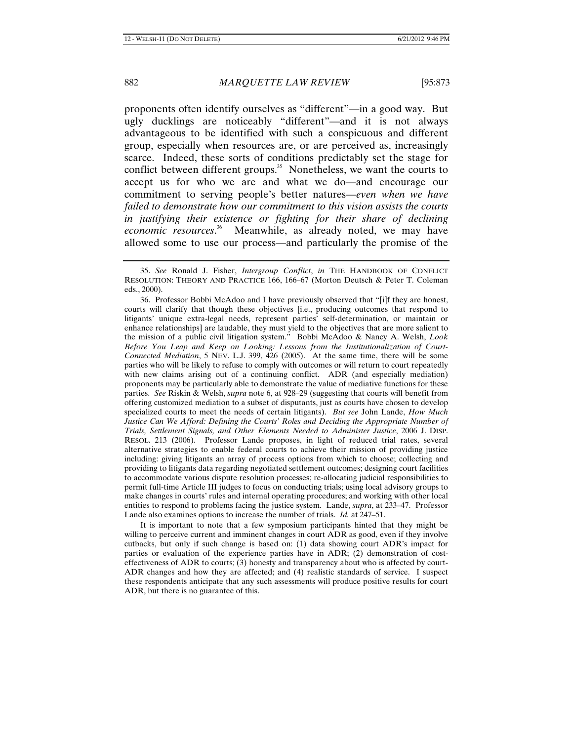proponents often identify ourselves as "different"—in a good way. But ugly ducklings are noticeably "different"—and it is not always advantageous to be identified with such a conspicuous and different group, especially when resources are, or are perceived as, increasingly scarce. Indeed, these sorts of conditions predictably set the stage for conflict between different groups.<sup>35</sup> Nonetheless, we want the courts to accept us for who we are and what we do—and encourage our commitment to serving people's better natures—*even when we have failed to demonstrate how our commitment to this vision assists the courts in justifying their existence or fighting for their share of declining economic resources*. <sup>36</sup> Meanwhile, as already noted, we may have allowed some to use our process—and particularly the promise of the

It is important to note that a few symposium participants hinted that they might be willing to perceive current and imminent changes in court ADR as good, even if they involve cutbacks, but only if such change is based on: (1) data showing court ADR's impact for parties or evaluation of the experience parties have in ADR; (2) demonstration of costeffectiveness of ADR to courts; (3) honesty and transparency about who is affected by court-ADR changes and how they are affected; and (4) realistic standards of service. I suspect these respondents anticipate that any such assessments will produce positive results for court ADR, but there is no guarantee of this.

<sup>35.</sup> *See* Ronald J. Fisher, *Intergroup Conflict*, *in* THE HANDBOOK OF CONFLICT RESOLUTION: THEORY AND PRACTICE 166, 166–67 (Morton Deutsch & Peter T. Coleman eds., 2000).

<sup>36.</sup> Professor Bobbi McAdoo and I have previously observed that "[i]f they are honest, courts will clarify that though these objectives [i.e., producing outcomes that respond to litigants' unique extra-legal needs, represent parties' self-determination, or maintain or enhance relationships] are laudable, they must yield to the objectives that are more salient to the mission of a public civil litigation system." Bobbi McAdoo & Nancy A. Welsh, *Look Before You Leap and Keep on Looking: Lessons from the Institutionalization of Court-Connected Mediation*, 5 NEV. L.J. 399, 426 (2005). At the same time, there will be some parties who will be likely to refuse to comply with outcomes or will return to court repeatedly with new claims arising out of a continuing conflict. ADR (and especially mediation) proponents may be particularly able to demonstrate the value of mediative functions for these parties. *See* Riskin & Welsh, *supra* note 6, at 928–29 (suggesting that courts will benefit from offering customized mediation to a subset of disputants, just as courts have chosen to develop specialized courts to meet the needs of certain litigants). *But see* John Lande, *How Much Justice Can We Afford: Defining the Courts' Roles and Deciding the Appropriate Number of Trials, Settlement Signals, and Other Elements Needed to Administer Justice*, 2006 J. DISP. RESOL. 213 (2006). Professor Lande proposes, in light of reduced trial rates, several alternative strategies to enable federal courts to achieve their mission of providing justice including: giving litigants an array of process options from which to choose; collecting and providing to litigants data regarding negotiated settlement outcomes; designing court facilities to accommodate various dispute resolution processes; re-allocating judicial responsibilities to permit full-time Article III judges to focus on conducting trials; using local advisory groups to make changes in courts' rules and internal operating procedures; and working with other local entities to respond to problems facing the justice system. Lande, *supra*, at 233–47. Professor Lande also examines options to increase the number of trials. *Id.* at 247–51.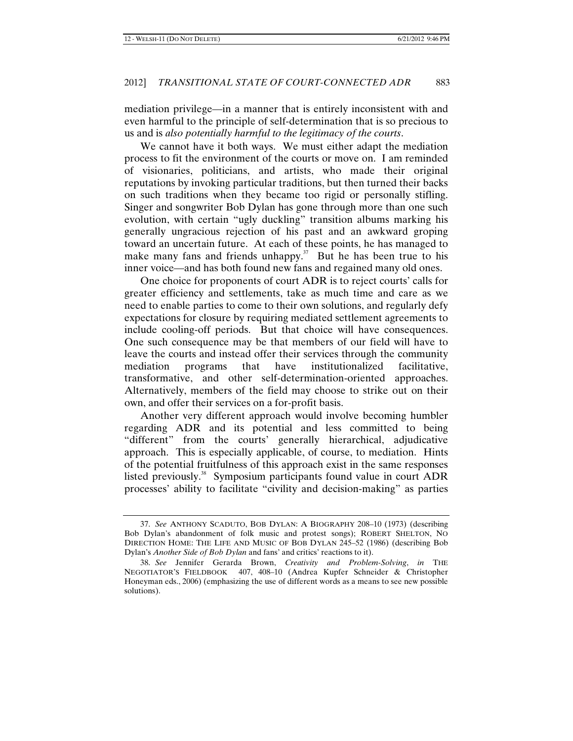mediation privilege—in a manner that is entirely inconsistent with and even harmful to the principle of self-determination that is so precious to us and is *also potentially harmful to the legitimacy of the courts*.

We cannot have it both ways. We must either adapt the mediation process to fit the environment of the courts or move on. I am reminded of visionaries, politicians, and artists, who made their original reputations by invoking particular traditions, but then turned their backs on such traditions when they became too rigid or personally stifling. Singer and songwriter Bob Dylan has gone through more than one such evolution, with certain "ugly duckling" transition albums marking his generally ungracious rejection of his past and an awkward groping toward an uncertain future. At each of these points, he has managed to make many fans and friends unhappy. $37$  But he has been true to his inner voice—and has both found new fans and regained many old ones.

One choice for proponents of court ADR is to reject courts' calls for greater efficiency and settlements, take as much time and care as we need to enable parties to come to their own solutions, and regularly defy expectations for closure by requiring mediated settlement agreements to include cooling-off periods. But that choice will have consequences. One such consequence may be that members of our field will have to leave the courts and instead offer their services through the community mediation programs that have institutionalized facilitative, transformative, and other self-determination-oriented approaches. Alternatively, members of the field may choose to strike out on their own, and offer their services on a for-profit basis.

Another very different approach would involve becoming humbler regarding ADR and its potential and less committed to being "different" from the courts' generally hierarchical, adjudicative approach. This is especially applicable, of course, to mediation. Hints of the potential fruitfulness of this approach exist in the same responses listed previously. 38 Symposium participants found value in court ADR processes' ability to facilitate "civility and decision-making" as parties

<sup>37.</sup> *See* ANTHONY SCADUTO, BOB DYLAN: A BIOGRAPHY 208–10 (1973) (describing Bob Dylan's abandonment of folk music and protest songs); ROBERT SHELTON, NO DIRECTION HOME: THE LIFE AND MUSIC OF BOB DYLAN 245–52 (1986) (describing Bob Dylan's *Another Side of Bob Dylan* and fans' and critics' reactions to it).

<sup>38.</sup> *See* Jennifer Gerarda Brown, *Creativity and Problem-Solving*, *in* THE NEGOTIATOR'S FIELDBOOK 407, 408–10 (Andrea Kupfer Schneider & Christopher Honeyman eds., 2006) (emphasizing the use of different words as a means to see new possible solutions).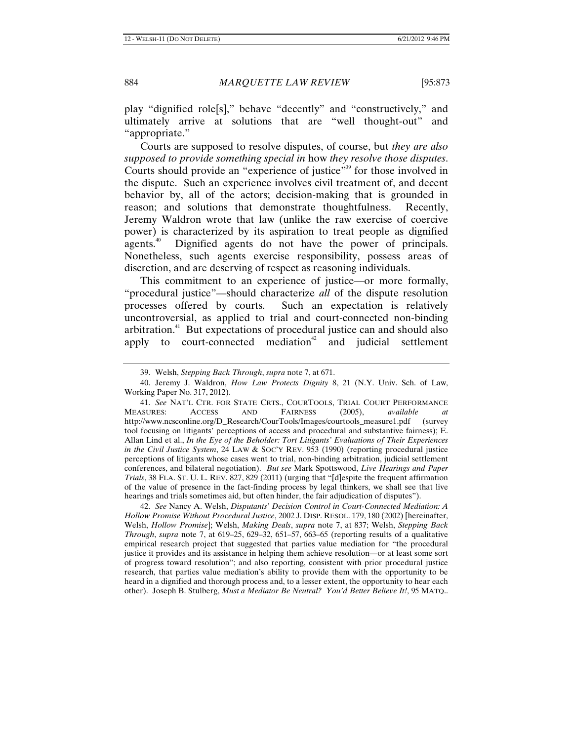play "dignified role[s]," behave "decently" and "constructively," and ultimately arrive at solutions that are "well thought-out" and "appropriate."

Courts are supposed to resolve disputes, of course, but *they are also supposed to provide something special in* how *they resolve those disputes*. Courts should provide an "experience of justice" <sup>39</sup> for those involved in the dispute. Such an experience involves civil treatment of, and decent behavior by, all of the actors; decision-making that is grounded in reason; and solutions that demonstrate thoughtfulness. Recently, Jeremy Waldron wrote that law (unlike the raw exercise of coercive power) is characterized by its aspiration to treat people as dignified agents.<sup>40</sup> Dignified agents do not have the power of principals. Nonetheless, such agents exercise responsibility, possess areas of discretion, and are deserving of respect as reasoning individuals.

This commitment to an experience of justice—or more formally, "procedural justice"—should characterize *all* of the dispute resolution processes offered by courts. Such an expectation is relatively uncontroversial, as applied to trial and court-connected non-binding arbitration.<sup>41</sup> But expectations of procedural justice can and should also apply to court-connected mediation<sup>42</sup> and judicial settlement

42. *See* Nancy A. Welsh, *Disputants' Decision Control in Court-Connected Mediation: A Hollow Promise Without Procedural Justice*, 2002 J. DISP. RESOL. 179, 180 (2002) [hereinafter, Welsh, *Hollow Promise*]; Welsh, *Making Deals*, *supra* note 7, at 837; Welsh, *Stepping Back Through*, *supra* note 7, at 619–25, 629–32, 651–57, 663–65 (reporting results of a qualitative empirical research project that suggested that parties value mediation for "the procedural justice it provides and its assistance in helping them achieve resolution—or at least some sort of progress toward resolution"; and also reporting, consistent with prior procedural justice research, that parties value mediation's ability to provide them with the opportunity to be heard in a dignified and thorough process and, to a lesser extent, the opportunity to hear each other). Joseph B. Stulberg, *Must a Mediator Be Neutral? You'd Better Believe It!*, 95 MATQ..

<sup>39.</sup> Welsh, *Stepping Back Through*, *supra* note 7, at 671.

<sup>40.</sup> Jeremy J. Waldron, *How Law Protects Dignity* 8, 21 (N.Y. Univ. Sch. of Law, Working Paper No. 317, 2012).

<sup>41.</sup> *See* NAT'L CTR. FOR STATE CRTS., COURTOOLS, TRIAL COURT PERFORMANCE MEASURES: ACCESS AND FAIRNESS (2005), *available at* http://www.ncsconline.org/D\_Research/CourTools/Images/courtools\_measure1.pdf (survey tool focusing on litigants' perceptions of access and procedural and substantive fairness); E. Allan Lind et al., *In the Eye of the Beholder: Tort Litigants' Evaluations of Their Experiences in the Civil Justice System*, 24 LAW & SOC'Y REV. 953 (1990) (reporting procedural justice perceptions of litigants whose cases went to trial, non-binding arbitration, judicial settlement conferences, and bilateral negotiation). *But see* Mark Spottswood, *Live Hearings and Paper Trials*, 38 FLA. ST. U. L. REV. 827, 829 (2011) (urging that "[d]espite the frequent affirmation of the value of presence in the fact-finding process by legal thinkers, we shall see that live hearings and trials sometimes aid, but often hinder, the fair adjudication of disputes").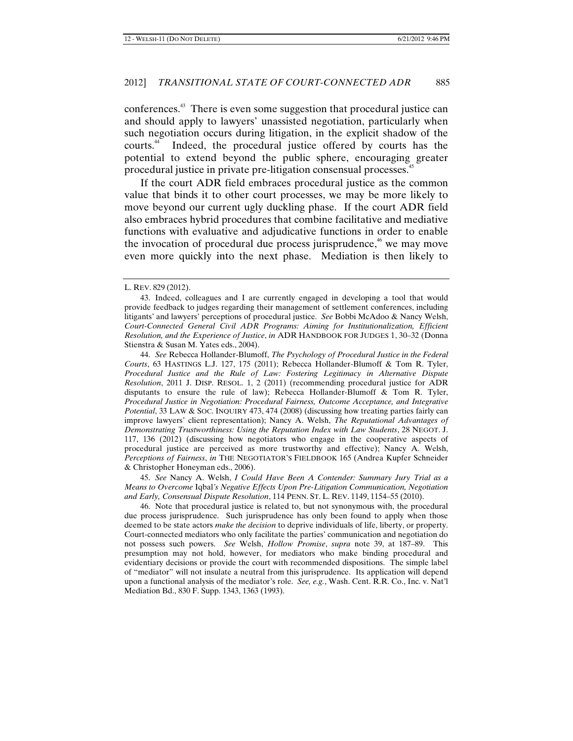conferences.<sup>43</sup> There is even some suggestion that procedural justice can and should apply to lawyers' unassisted negotiation, particularly when such negotiation occurs during litigation, in the explicit shadow of the courts.44 Indeed, the procedural justice offered by courts has the potential to extend beyond the public sphere, encouraging greater procedural justice in private pre-litigation consensual processes.<sup>4</sup>

If the court ADR field embraces procedural justice as the common value that binds it to other court processes, we may be more likely to move beyond our current ugly duckling phase. If the court ADR field also embraces hybrid procedures that combine facilitative and mediative functions with evaluative and adjudicative functions in order to enable the invocation of procedural due process jurisprudence, $46$  we may move even more quickly into the next phase. Mediation is then likely to

45. *See* Nancy A. Welsh, *I Could Have Been A Contender: Summary Jury Trial as a Means to Overcome* Iqbal*'s Negative Effects Upon Pre-Litigation Communication, Negotiation and Early, Consensual Dispute Resolution*, 114 PENN. ST. L. REV. 1149, 1154–55 (2010).

46. Note that procedural justice is related to, but not synonymous with, the procedural due process jurisprudence. Such jurisprudence has only been found to apply when those deemed to be state actors *make the decision* to deprive individuals of life, liberty, or property. Court-connected mediators who only facilitate the parties' communication and negotiation do not possess such powers. *See* Welsh, *Hollow Promise*, *supra* note 39, at 187–89. This presumption may not hold, however, for mediators who make binding procedural and evidentiary decisions or provide the court with recommended dispositions. The simple label of "mediator" will not insulate a neutral from this jurisprudence. Its application will depend upon a functional analysis of the mediator's role. *See, e.g.*, Wash. Cent. R.R. Co., Inc. v. Nat'l Mediation Bd., 830 F. Supp. 1343, 1363 (1993).

L. REV. 829 (2012).

<sup>43.</sup> Indeed, colleagues and I are currently engaged in developing a tool that would provide feedback to judges regarding their management of settlement conferences, including litigants' and lawyers' perceptions of procedural justice. *See* Bobbi McAdoo & Nancy Welsh, *Court-Connected General Civil ADR Programs: Aiming for Institutionalization, Efficient Resolution, and the Experience of Justice*, *in* ADR HANDBOOK FOR JUDGES 1, 30–32 (Donna Stienstra & Susan M. Yates eds., 2004).

<sup>44.</sup> *See* Rebecca Hollander-Blumoff, *The Psychology of Procedural Justice in the Federal Courts*, 63 HASTINGS L.J. 127, 175 (2011); Rebecca Hollander-Blumoff & Tom R. Tyler, *Procedural Justice and the Rule of Law: Fostering Legitimacy in Alternative Dispute Resolution*, 2011 J. DISP. RESOL. 1, 2 (2011) (recommending procedural justice for ADR disputants to ensure the rule of law); Rebecca Hollander-Blumoff & Tom R. Tyler, *Procedural Justice in Negotiation: Procedural Fairness, Outcome Acceptance, and Integrative Potential*, 33 LAW & SOC. INQUIRY 473, 474 (2008) (discussing how treating parties fairly can improve lawyers' client representation); Nancy A. Welsh, *The Reputational Advantages of Demonstrating Trustworthiness: Using the Reputation Index with Law Students*, 28 NEGOT. J. 117, 136 (2012) (discussing how negotiators who engage in the cooperative aspects of procedural justice are perceived as more trustworthy and effective); Nancy A. Welsh, *Perceptions of Fairness*, *in* THE NEGOTIATOR'S FIELDBOOK 165 (Andrea Kupfer Schneider & Christopher Honeyman eds., 2006).